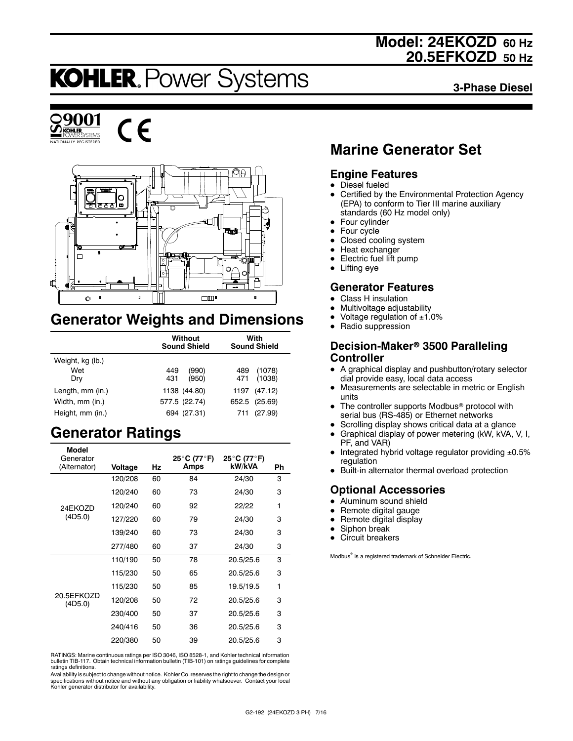## **Model: 24EKOZD 60 Hz 20.5EFKOZD 50 Hz**

# **KOHLER. Power Systems**

**3-Phase Diesel**







## **Generator Weights and Dimensions**

|                  | Without<br><b>Sound Shield</b> | With<br><b>Sound Shield</b> |  |
|------------------|--------------------------------|-----------------------------|--|
| Weight, kg (lb.) |                                |                             |  |
| Wet              | (990)<br>449                   | (1078)<br>489               |  |
| Dry              | 431<br>(950)                   | (1038)<br>471               |  |
| Length, mm (in.) | 1138 (44.80)                   | 1197 (47.12)                |  |
| Width, mm (in.)  | 577.5 (22.74)                  | 652.5 (25.69)               |  |
| Height, mm (in.) | 694 (27.31)                    | (27.99)<br>711              |  |

## **Generator Ratings**

| Model                     |         |    |                     |                       |    |
|---------------------------|---------|----|---------------------|-----------------------|----|
| Generator<br>(Alternator) | Voltage | Hz | 25°C (77°F)<br>Amps | 25°C (77°F)<br>kW/kVA | Ph |
|                           | 120/208 | 60 | 84                  | 24/30                 | 3  |
|                           | 120/240 | 60 | 73                  | 24/30                 | 3  |
| 24EKOZD                   | 120/240 | 60 | 92                  | 22/22                 | 1  |
| (4D5.0)                   | 127/220 | 60 | 79                  | 24/30                 | 3  |
|                           | 139/240 | 60 | 73                  | 24/30                 | 3  |
|                           | 277/480 | 60 | 37                  | 24/30                 | 3  |
|                           | 110/190 | 50 | 78                  | 20.5/25.6             | 3  |
|                           | 115/230 | 50 | 65                  | 20.5/25.6             | 3  |
|                           | 115/230 | 50 | 85                  | 19.5/19.5             | 1  |
| 20.5EFKOZD<br>(4D5.0)     | 120/208 | 50 | 72                  | 20.5/25.6             | 3  |
|                           | 230/400 | 50 | 37                  | 20.5/25.6             | 3  |
|                           | 240/416 | 50 | 36                  | 20.5/25.6             | 3  |
|                           | 220/380 | 50 | 39                  | 20.5/25.6             | 3  |
|                           |         |    |                     |                       |    |

RATINGS: Marine continuous ratings per ISO 3046, ISO 8528-1, and Kohler technical information bulletin TIB-117. Obtain technical information bulletin (TIB-101) on ratings guidelines for complete ratings definitions.

Availability is subject to change without notice. Kohler Co. reserves the right to change the design or specifications without notice and without any obligation or liability whatsoever. Contact your local Kohler generator distributor for availability.

## **Marine Generator Set**

### **Engine Features**

- $\bullet$  Diesel fueled
- Certified by the Environmental Protection Agency (EPA) to conform to Tier III marine auxiliary standards (60 Hz model only)
- $\bullet$  Four cylinder
- $\bullet$  Four cycle
- Closed cooling system
- $\bullet$  Heat exchanger
- Electric fuel lift pump
- $\bullet$  Lifting eye

### **Generator Features**

- **Class H** insulation
- Multivoltage adjustability
- Voltage regulation of  $±1.0%$
- Radio suppression

### **Decision-Maker<sup>®</sup> 3500 Paralleling Controller**

- A graphical display and pushbutton/rotary selector dial provide easy, local data access
- Measurements are selectable in metric or English units
- The controller supports Modbus<sup>®</sup> protocol with serial bus (RS-485) or Ethernet networks
- Scrolling display shows critical data at a glance
- $\bullet$  Graphical display of power metering (kW, kVA, V, I, PF, and VAR)
- $\bullet$  Integrated hybrid voltage regulator providing  $\pm 0.5\%$ regulation
- Built-in alternator thermal overload protection

## **Optional Accessories**

- $\bullet$  Aluminum sound shield
- Remote digital gauge
- Remote digital display
- Siphon break
- $\bullet$  Circuit breakers

Modbus<sup>®</sup> is a registered trademark of Schneider Electric.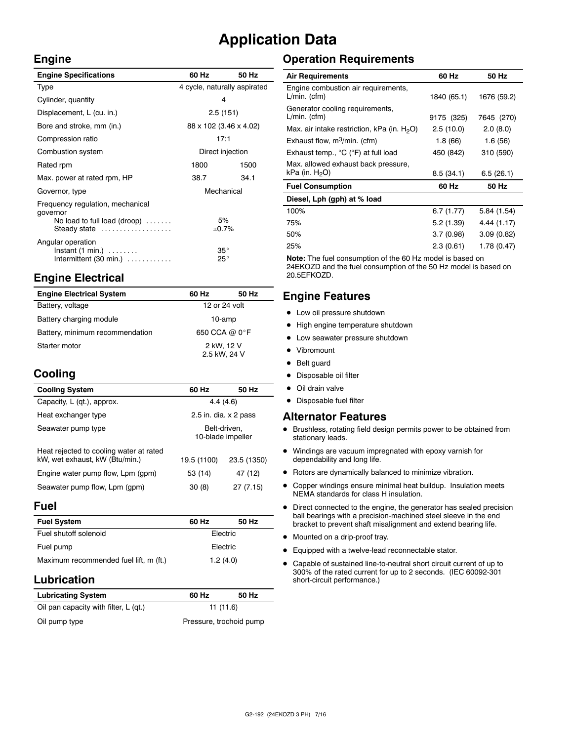## **Application Data**

 $\bar{z}$ 

#### **Engine**

| <b>Engine Specifications</b>                                                                                 | 60 Hz                        | 50 Hz |  |
|--------------------------------------------------------------------------------------------------------------|------------------------------|-------|--|
| Type                                                                                                         | 4 cycle, naturally aspirated |       |  |
| Cylinder, quantity                                                                                           | 4                            |       |  |
| Displacement, L (cu. in.)                                                                                    | 2.5(151)                     |       |  |
| Bore and stroke, mm (in.)                                                                                    | 88 x 102 (3.46 x 4.02)       |       |  |
| Compression ratio                                                                                            | 17:1                         |       |  |
| Combustion system                                                                                            | Direct injection             |       |  |
| Rated rpm                                                                                                    | 1800                         | 1500  |  |
| Max. power at rated rpm, HP                                                                                  | 38.7                         | 34.1  |  |
| Governor, type                                                                                               | Mechanical                   |       |  |
| Frequency regulation, mechanical<br>governor<br>No load to full load (droop) $\ldots \ldots$<br>Steady state | 5%<br>±0.7%                  |       |  |
| Angular operation<br>$Instant (1 min.) \ldots \ldots$<br>Intermittent $(30 \text{ min.})$                    | $35^{\circ}$<br>$25^{\circ}$ |       |  |

## **Engine Electrical**

| <b>Engine Electrical System</b> | 60 Hz                      | 50 Hz |
|---------------------------------|----------------------------|-------|
| Battery, voltage                | 12 or 24 volt              |       |
| Battery charging module         | 10-amp                     |       |
| Battery, minimum recommendation | 650 CCA @ 0°F              |       |
| Starter motor                   | 2 kW, 12 V<br>2.5 kW, 24 V |       |

## **Cooling**

| <b>Cooling System</b>                                                     | 60 Hz                             | 50 Hz       |
|---------------------------------------------------------------------------|-----------------------------------|-------------|
| Capacity, L (qt.), approx.                                                | 4.4(4.6)                          |             |
| Heat exchanger type                                                       | 2.5 in. dia. $\times$ 2 pass      |             |
| Seawater pump type                                                        | Belt-driven,<br>10-blade impeller |             |
| Heat rejected to cooling water at rated<br>kW, wet exhaust, kW (Btu/min.) | 19.5 (1100)                       | 23.5 (1350) |
| Engine water pump flow, Lpm (gpm)                                         | 53 (14)                           | 47 (12)     |
| Seawater pump flow, Lpm (gpm)                                             | 30(8)                             | 27 (7.15)   |

#### **Fuel**

| <b>Fuel System</b>                     | 60 Hz    | 50 Hz |  |
|----------------------------------------|----------|-------|--|
| Fuel shutoff solenoid                  | Electric |       |  |
| Fuel pump                              | Electric |       |  |
| Maximum recommended fuel lift, m (ft.) | 1.2(4.0) |       |  |

### **Lubrication**

| <b>Lubricating System</b>             | 60 Hz                   | 50 Hz |  |
|---------------------------------------|-------------------------|-------|--|
| Oil pan capacity with filter, L (qt.) | 11(11.6)                |       |  |
| Oil pump type                         | Pressure, trochoid pump |       |  |

## **Operation Requirements**

| <b>Air Requirements</b>                                  | 60 Hz       | 50 Hz       |
|----------------------------------------------------------|-------------|-------------|
| Engine combustion air requirements,<br>$L/min.$ (cfm)    | 1840 (65.1) | 1676 (59.2) |
| Generator cooling requirements,<br>$L/min.$ (cfm)        | 9175 (325)  | 7645 (270)  |
| Max. air intake restriction, kPa (in. $H_2O$ )           | 2.5(10.0)   | 2.0(8.0)    |
| Exhaust flow, $m^3/m$ in. (cfm)                          | 1.8 (66)    | 1.6(56)     |
| Exhaust temp., °C (°F) at full load                      | 450 (842)   | 310 (590)   |
| Max. allowed exhaust back pressure,<br>kPa (in. $H_2O$ ) | 8.5(34.1)   | 6.5(26.1)   |
| <b>Fuel Consumption</b>                                  | 60 Hz       | 50 Hz       |
| Diesel, Lph (gph) at % load                              |             |             |
| 100%                                                     | 6.7(1.77)   | 5.84 (1.54) |
| 75%                                                      | 5.2(1.39)   | 4.44 (1.17) |
| 50%                                                      | 3.7(0.98)   | 3.09(0.82)  |
| 25%                                                      | 2.3(0.61)   | 1.78 (0.47) |

**Note:** The fuel consumption of the 60 Hz model is based on 24EKOZD and the fuel consumption of the 50 Hz model is based on 20.5EFKOZD.

### **Engine Features**

- $\bullet$  Low oil pressure shutdown
- High engine temperature shutdown
- Low seawater pressure shutdown
- Vibromount
- Belt guard
- Disposable oil filter
- $\bullet$  Oil drain valve
- Disposable fuel filter

#### **Alternator Features**

- $\bullet$  Brushless, rotating field design permits power to be obtained from stationary leads.
- $\bullet$  Windings are vacuum impregnated with epoxy varnish for dependability and long life.
- $\bullet$  Rotors are dynamically balanced to minimize vibration.
- Copper windings ensure minimal heat buildup. Insulation meets NEMA standards for class H insulation.
- $\bullet$  Direct connected to the engine, the generator has sealed precision ball bearings with a precision-machined steel sleeve in the end bracket to prevent shaft misalignment and extend bearing life.
- $\bullet$  Mounted on a drip-proof tray.
- $\bullet$  Equipped with a twelve-lead reconnectable stator.
- Capable of sustained line-to-neutral short circuit current of up to 300% of the rated current for up to 2 seconds. (IEC 60092-301 short-circuit performance.)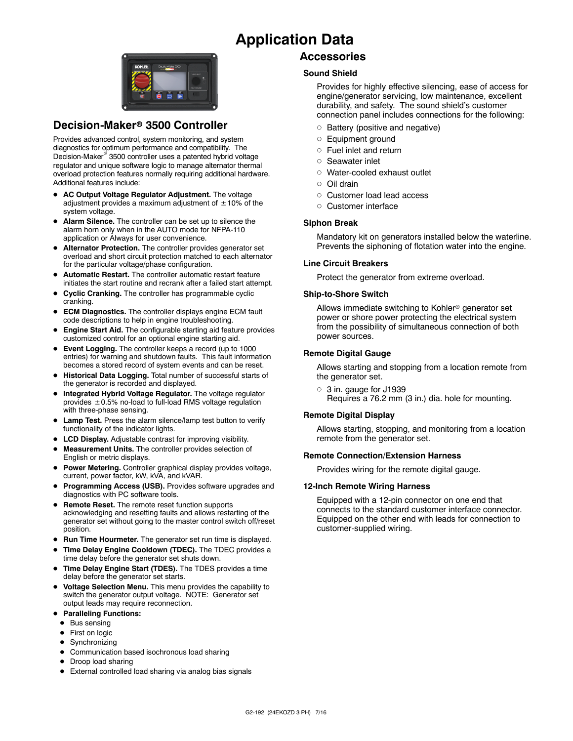## **Application Data**



### **Decision-Maker<sup>®</sup> 3500 Controller**

Provides advanced control, system monitoring, and system diagnostics for optimum performance and compatibility. The Decision-Maker<sup>®</sup> 3500 controller uses a patented hybrid voltage regulator and unique software logic to manage alternator thermal overload protection features normally requiring additional hardware. Additional features include:

- AC Output Voltage Regulator Adjustment. The voltage adjustment provides a maximum adjustment of  $\pm 10\%$  of the system voltage.
- Alarm Silence. The controller can be set up to silence the alarm horn only when in the AUTO mode for NFPA-110 application or Always for user convenience.
- $\bullet$  Alternator Protection. The controller provides generator set overload and short circuit protection matched to each alternator for the particular voltage/phase configuration.
- $\bullet$  Automatic Restart. The controller automatic restart feature initiates the start routine and recrank after a failed start attempt.
- **Cyclic Cranking.** The controller has programmable cyclic cranking.
- **ECM Diagnostics.** The controller displays engine ECM fault code descriptions to help in engine troubleshooting.
- **Engine Start Aid.** The configurable starting aid feature provides customized control for an optional engine starting aid.
- **Event Logging.** The controller keeps a record (up to 1000 entries) for warning and shutdown faults. This fault information becomes a stored record of system events and can be reset.
- **Historical Data Logging.** Total number of successful starts of the generator is recorded and displayed.
- $\bullet$  Integrated Hybrid Voltage Regulator. The voltage regulator provides  $\pm$  0.5% no-load to full-load RMS voltage regulation with three-phase sensing.
- **Lamp Test.** Press the alarm silence/lamp test button to verify functionality of the indicator lights.
- **LCD Display.** Adjustable contrast for improving visibility.
- Measurement Units. The controller provides selection of English or metric displays.
- **Power Metering.** Controller graphical display provides voltage, current, power factor, kW, kVA, and kVAR.
- **Programming Access (USB).** Provides software upgrades and diagnostics with PC software tools.
- **Remote Reset.** The remote reset function supports acknowledging and resetting faults and allows restarting of the generator set without going to the master control switch off/reset position.
- **Run Time Hourmeter.** The generator set run time is displayed.
- Time Delay Engine Cooldown (TDEC). The TDEC provides a time delay before the generator set shuts down.
- Time Delay Engine Start (TDES). The TDES provides a time delay before the generator set starts.
- **Voltage Selection Menu.** This menu provides the capability to switch the generator output voltage. NOTE: Generator set output leads may require reconnection.
- **Paralleling Functions:** 
	- $\bullet$  Bus sensing
	- First on logic
	- Synchronizing
	- Communication based isochronous load sharing
	- Droop load sharing
	- External controlled load sharing via analog bias signals

### **Accessories**

#### **Sound Shield**

Provides for highly effective silencing, ease of access for engine/generator servicing, low maintenance, excellent durability, and safety. The sound shield's customer connection panel includes connections for the following:

- $\circ$  Battery (positive and negative)
- o Equipment ground
- $\circ$  Fuel inlet and return
- o Seawater inlet
- o Water-cooled exhaust outlet
- $\cap$  Oil drain
- o Customer load lead access
- o Customer interface

#### **Siphon Break**

Mandatory kit on generators installed below the waterline. Prevents the siphoning of flotation water into the engine.

#### **Line Circuit Breakers**

Protect the generator from extreme overload.

#### **Ship-to-Shore Switch**

Allows immediate switching to Kohler<sup>®</sup> generator set power or shore power protecting the electrical system from the possibility of simultaneous connection of both power sources.

#### **Remote Digital Gauge**

Allows starting and stopping from a location remote from the generator set.

 $\circ$  3 in. gauge for J1939 Requires a 76.2 mm (3 in.) dia. hole for mounting.

#### **Remote Digital Display**

Allows starting, stopping, and monitoring from a location remote from the generator set.

#### **Remote Connection/Extension Harness**

Provides wiring for the remote digital gauge.

#### **12-Inch Remote Wiring Harness**

Equipped with a 12-pin connector on one end that connects to the standard customer interface connector. Equipped on the other end with leads for connection to customer-supplied wiring.